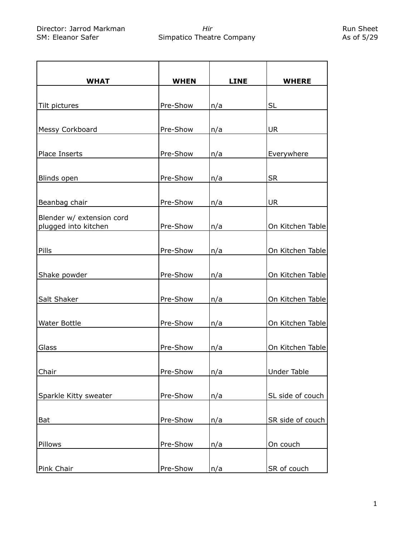| <b>WHAT</b>                                       | <b>WHEN</b> | <b>LINE</b> | <b>WHERE</b>       |
|---------------------------------------------------|-------------|-------------|--------------------|
|                                                   |             |             |                    |
| Tilt pictures                                     | Pre-Show    | n/a         | <b>SL</b>          |
|                                                   |             |             |                    |
| Messy Corkboard                                   | Pre-Show    | n/a         | <b>UR</b>          |
|                                                   |             |             |                    |
| Place Inserts                                     | Pre-Show    | n/a         | Everywhere         |
|                                                   |             |             |                    |
| Blinds open                                       | Pre-Show    | n/a         | <b>SR</b>          |
|                                                   |             |             |                    |
| Beanbag chair                                     | Pre-Show    | n/a         | <b>UR</b>          |
|                                                   |             |             |                    |
| Blender w/ extension cord<br>plugged into kitchen | Pre-Show    | n/a         | On Kitchen Table   |
|                                                   |             |             |                    |
| Pills                                             | Pre-Show    |             | On Kitchen Table   |
|                                                   |             | n/a         |                    |
|                                                   | Pre-Show    |             |                    |
| Shake powder                                      |             | n/a         | On Kitchen Table   |
|                                                   |             |             |                    |
| Salt Shaker                                       | Pre-Show    | n/a         | On Kitchen Table   |
|                                                   |             |             |                    |
| <b>Water Bottle</b>                               | Pre-Show    | n/a         | On Kitchen Table   |
|                                                   |             |             |                    |
| Glass                                             | Pre-Show    | n/a         | On Kitchen Table   |
|                                                   |             |             |                    |
| Chair                                             | Pre-Show    | n/a         | <b>Under Table</b> |
|                                                   |             |             |                    |
| Sparkle Kitty sweater                             | Pre-Show    | n/a         | SL side of couch   |
|                                                   |             |             |                    |
| <b>Bat</b>                                        | Pre-Show    | n/a         | SR side of couch   |
|                                                   |             |             |                    |
| Pillows                                           | Pre-Show    | n/a         | On couch           |
|                                                   |             |             |                    |
| Pink Chair                                        | Pre-Show    | n/a         | SR of couch        |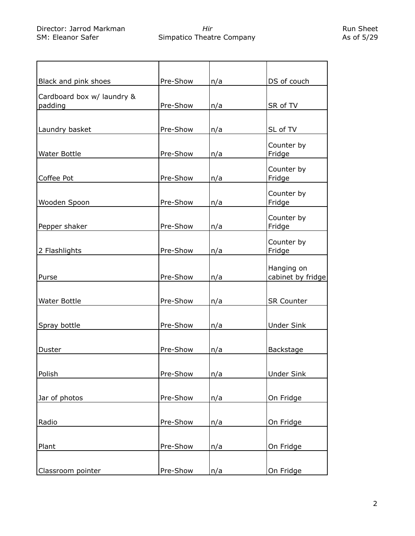Run Sheet As of 5/29

| Black and pink shoes                  | Pre-Show | n/a | DS of couch                     |
|---------------------------------------|----------|-----|---------------------------------|
| Cardboard box w/ laundry &<br>padding | Pre-Show | n/a | SR of TV                        |
| Laundry basket                        | Pre-Show | n/a | SL of TV                        |
| <b>Water Bottle</b>                   | Pre-Show | n/a | Counter by<br>Fridge            |
| Coffee Pot                            | Pre-Show | n/a | Counter by<br>Fridge            |
| Wooden Spoon                          | Pre-Show | n/a | Counter by<br>Fridge            |
| Pepper shaker                         | Pre-Show | n/a | Counter by<br>Fridge            |
| 2 Flashlights                         | Pre-Show | n/a | Counter by<br>Fridge            |
| Purse                                 | Pre-Show | n/a | Hanging on<br>cabinet by fridge |
| <b>Water Bottle</b>                   | Pre-Show | n/a | <b>SR Counter</b>               |
| Spray bottle                          | Pre-Show | n/a | <b>Under Sink</b>               |
| Duster                                | Pre-Show | n/a | <b>Backstage</b>                |
| Polish                                | Pre-Show | n/a | <b>Under Sink</b>               |
| Jar of photos                         | Pre-Show | n/a | On Fridge                       |
| Radio                                 | Pre-Show | n/a | On Fridge                       |
| Plant                                 | Pre-Show | n/a | On Fridge                       |
| Classroom pointer                     | Pre-Show | n/a | On Fridge                       |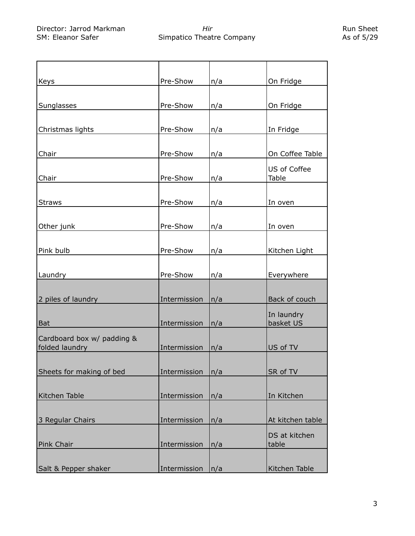| Keys                       | Pre-Show     | n/a | On Fridge        |
|----------------------------|--------------|-----|------------------|
|                            |              |     |                  |
| Sunglasses                 | Pre-Show     | n/a | On Fridge        |
|                            |              |     |                  |
|                            |              |     |                  |
| Christmas lights           | Pre-Show     | n/a | In Fridge        |
|                            |              |     |                  |
| Chair                      | Pre-Show     | n/a | On Coffee Table  |
|                            |              |     | US of Coffee     |
| Chair                      | Pre-Show     | n/a | Table            |
|                            |              |     |                  |
|                            |              |     |                  |
| <b>Straws</b>              | Pre-Show     | n/a | In oven          |
|                            |              |     |                  |
| Other junk                 | Pre-Show     | n/a | In oven          |
|                            |              |     |                  |
| Pink bulb                  | Pre-Show     | n/a | Kitchen Light    |
|                            |              |     |                  |
|                            |              |     |                  |
| Laundry                    | Pre-Show     | n/a | Everywhere       |
|                            |              |     |                  |
| 2 piles of laundry         | Intermission | n/a | Back of couch    |
|                            |              |     | In laundry       |
| Bat                        | Intermission | n/a | basket US        |
|                            |              |     |                  |
| Cardboard box w/ padding & |              |     |                  |
| folded laundry             | Intermission | n/a | US of TV         |
|                            |              |     |                  |
| Sheets for making of bed   | Intermission | n/a | SR of TV         |
|                            |              |     |                  |
| Kitchen Table              | Intermission | n/a | In Kitchen       |
|                            |              |     |                  |
|                            |              |     |                  |
| 3 Regular Chairs           | Intermission | n/a | At kitchen table |
|                            |              |     | DS at kitchen    |
| Pink Chair                 | Intermission | n/a | table            |
|                            |              |     |                  |
|                            |              |     |                  |
| Salt & Pepper shaker       | Intermission | n/a | Kitchen Table    |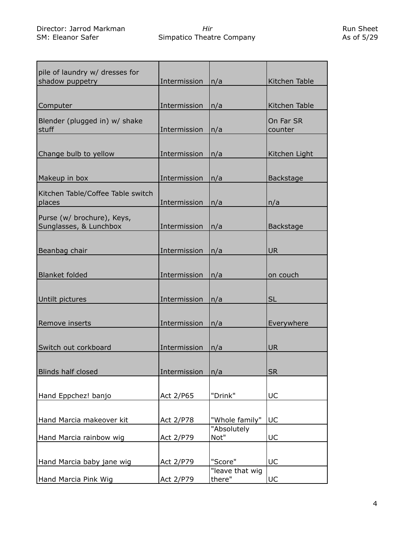| pile of laundry w/ dresses for<br>shadow puppetry    | Intermission | n/a                       | Kitchen Table        |
|------------------------------------------------------|--------------|---------------------------|----------------------|
| Computer                                             | Intermission | n/a                       | Kitchen Table        |
| Blender (plugged in) w/ shake<br>stuff               | Intermission | n/a                       | On Far SR<br>counter |
| Change bulb to yellow                                | Intermission | n/a                       | Kitchen Light        |
| Makeup in box                                        | Intermission | n/a                       | <b>Backstage</b>     |
| Kitchen Table/Coffee Table switch<br>places          | Intermission | n/a                       | n/a                  |
| Purse (w/ brochure), Keys,<br>Sunglasses, & Lunchbox | Intermission | n/a                       | Backstage            |
| Beanbag chair                                        | Intermission | n/a                       | <b>UR</b>            |
| <b>Blanket folded</b>                                | Intermission | n/a                       | on couch             |
| Untilt pictures                                      | Intermission | n/a                       | <b>SL</b>            |
| Remove inserts                                       | Intermission | n/a                       | Everywhere           |
| Switch out corkboard                                 | Intermission | n/a                       | <b>UR</b>            |
| <b>Blinds half closed</b>                            | Intermission | n/a                       | <b>SR</b>            |
| Hand Eppchez! banjo                                  | Act 2/P65    | "Drink"                   | UC                   |
| Hand Marcia makeover kit                             | Act 2/P78    | "Whole family"            | UC                   |
| Hand Marcia rainbow wig                              | Act 2/P79    | "Absolutely<br>Not"       | UC                   |
| Hand Marcia baby jane wig                            | Act 2/P79    | "Score"                   | UC                   |
| Hand Marcia Pink Wig                                 | Act 2/P79    | "leave that wig<br>there" | UC                   |